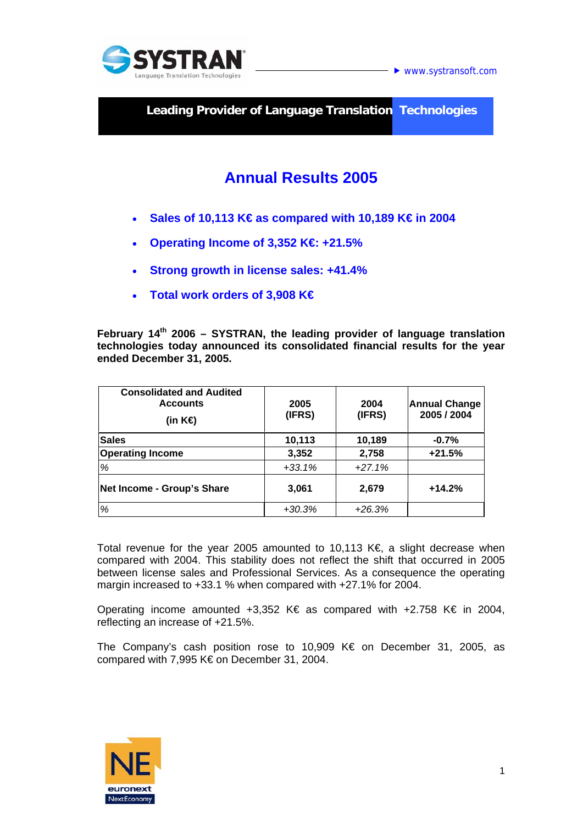

**► www.systransoft.com** 

**Leading Provider of Language Translation Technologies** 

# **Annual Results 2005**

- **Sales of 10,113 K€ as compared with 10,189 K€ in 2004**
- **Operating Income of 3,352 K€: +21.5%**
- **Strong growth in license sales: +41.4%**
- **Total work orders of 3,908 K€**

**February 14th 2006 – SYSTRAN, the leading provider of language translation technologies today announced its consolidated financial results for the year ended December 31, 2005.** 

| <b>Consolidated and Audited</b><br><b>Accounts</b><br>(in $K\oplus$ | 2005<br>(IFRS) | 2004<br>(IFRS) | <b>Annual Change</b><br>2005 / 2004 |
|---------------------------------------------------------------------|----------------|----------------|-------------------------------------|
| <b>Sales</b>                                                        | 10,113         | 10,189         | $-0.7%$                             |
| <b>Operating Income</b>                                             | 3,352          | 2,758          | $+21.5%$                            |
| %                                                                   | $+33.1%$       | $+27.1%$       |                                     |
| Net Income - Group's Share                                          | 3,061          | 2,679          | $+14.2%$                            |
| %                                                                   | $+30.3%$       | $+26.3%$       |                                     |

Total revenue for the year 2005 amounted to 10,113 K€, a slight decrease when compared with 2004. This stability does not reflect the shift that occurred in 2005 between license sales and Professional Services. As a consequence the operating margin increased to +33.1 % when compared with +27.1% for 2004.

Operating income amounted +3,352 K€ as compared with +2.758 K€ in 2004, reflecting an increase of +21.5%.

The Company's cash position rose to 10,909 K€ on December 31, 2005, as compared with 7,995 K€ on December 31, 2004.

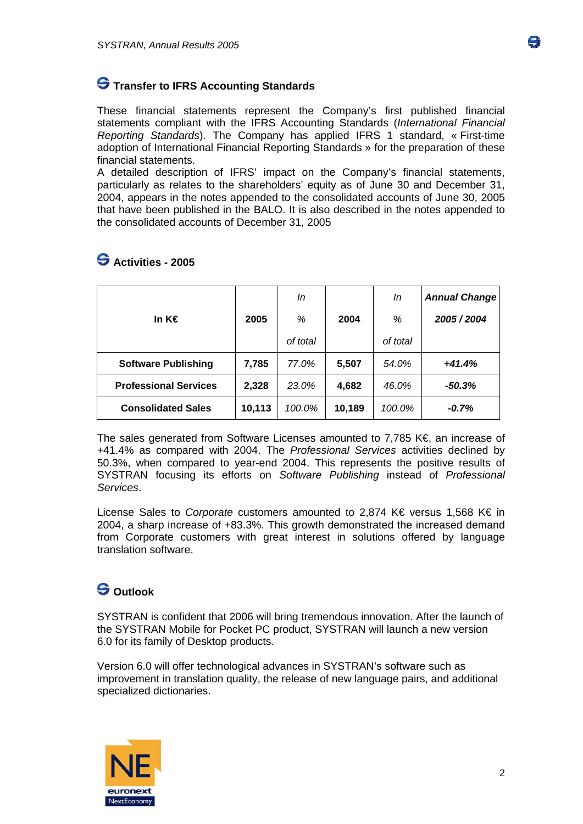

#### **S** Transfer to IFRS Accounting Standards

These financial statements represent the Company's first published financial statements compliant with the IFRS Accounting Standards (*International Financial Reporting Standards*). The Company has applied IFRS 1 standard, « First-time adoption of International Financial Reporting Standards » for the preparation of these financial statements.

A detailed description of IFRS' impact on the Company's financial statements, particularly as relates to the shareholders' equity as of June 30 and December 31, 2004, appears in the notes appended to the consolidated accounts of June 30, 2005 that have been published in the BALO. It is also described in the notes appended to the consolidated accounts of December 31, 2005

|                              |        | In       |        | In       | <b>Annual Change</b> |
|------------------------------|--------|----------|--------|----------|----------------------|
| In K€                        | 2005   | %        | 2004   | %        | 2005 / 2004          |
|                              |        | of total |        | of total |                      |
| <b>Software Publishing</b>   | 7,785  | 77.0%    | 5,507  | 54.0%    | $+41.4%$             |
| <b>Professional Services</b> | 2,328  | 23.0%    | 4,682  | 46.0%    | $-50.3\%$            |
| <b>Consolidated Sales</b>    | 10,113 | 100.0%   | 10,189 | 100.0%   | -0.7%                |

### **Activities - 2005**

The sales generated from Software Licenses amounted to 7,785 K€, an increase of +41.4% as compared with 2004. The *Professional Services* activities declined by 50.3%, when compared to year-end 2004. This represents the positive results of SYSTRAN focusing its efforts on *Software Publishing* instead of *Professional Services*.

License Sales to *Corporate* customers amounted to 2,874 K€ versus 1,568 K€ in 2004, a sharp increase of +83.3%. This growth demonstrated the increased demand from Corporate customers with great interest in solutions offered by language translation software.

## **Outlook**

SYSTRAN is confident that 2006 will bring tremendous innovation. After the launch of the SYSTRAN Mobile for Pocket PC product, SYSTRAN will launch a new version 6.0 for its family of Desktop products.

Version 6.0 will offer technological advances in SYSTRAN's software such as improvement in translation quality, the release of new language pairs, and additional specialized dictionaries.

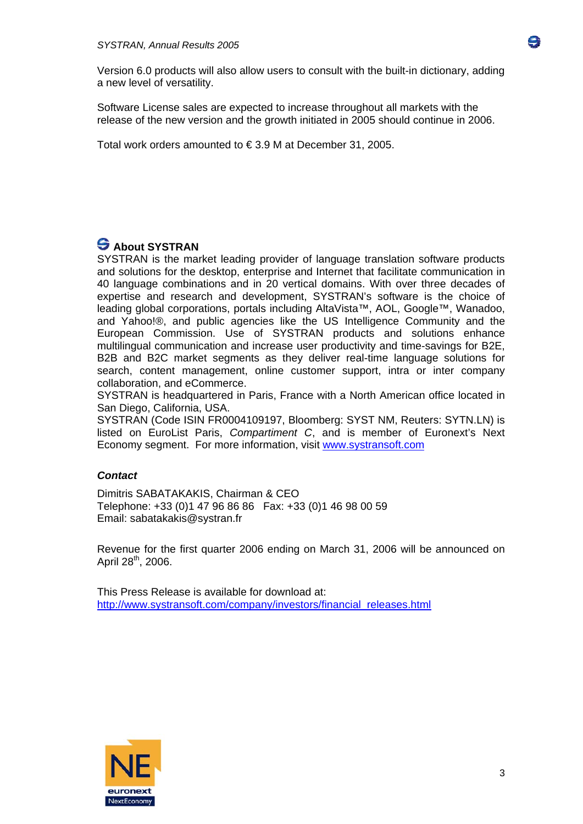Version 6.0 products will also allow users to consult with the built-in dictionary, adding a new level of versatility.

Software License sales are expected to increase throughout all markets with the release of the new version and the growth initiated in 2005 should continue in 2006.

Total work orders amounted to € 3.9 M at December 31, 2005.

## **S** About SYSTRAN

SYSTRAN is the market leading provider of language translation software products and solutions for the desktop, enterprise and Internet that facilitate communication in 40 language combinations and in 20 vertical domains. With over three decades of expertise and research and development, SYSTRAN's software is the choice of leading global corporations, portals including AltaVista™, AOL, Google™, Wanadoo, and Yahoo!®, and public agencies like the US Intelligence Community and the European Commission. Use of SYSTRAN products and solutions enhance multilingual communication and increase user productivity and time-savings for B2E, B2B and B2C market segments as they deliver real-time language solutions for search, content management, online customer support, intra or inter company collaboration, and eCommerce.

SYSTRAN is headquartered in Paris, France with a North American office located in San Diego, California, USA.

SYSTRAN (Code ISIN FR0004109197, Bloomberg: SYST NM, Reuters: SYTN.LN) is listed on EuroList Paris, *Compartiment C*, and is member of Euronext's Next Economy segment. For more information, visit [www.systransoft.com](http://www.systransoft.com/)

#### *Contact*

Dimitris SABATAKAKIS, Chairman & CEO Telephone: +33 (0)1 47 96 86 86 Fax: +33 (0)1 46 98 00 59 Email: sabatakakis@systran.fr

Revenue for the first quarter 2006 ending on March 31, 2006 will be announced on April  $28^{th}$ , 2006.

This Press Release is available for download at: [http://www.systransoft.com/company/investors/financial\\_releases.html](http://www.systransoft.com/company/investors/financial_releases.html)